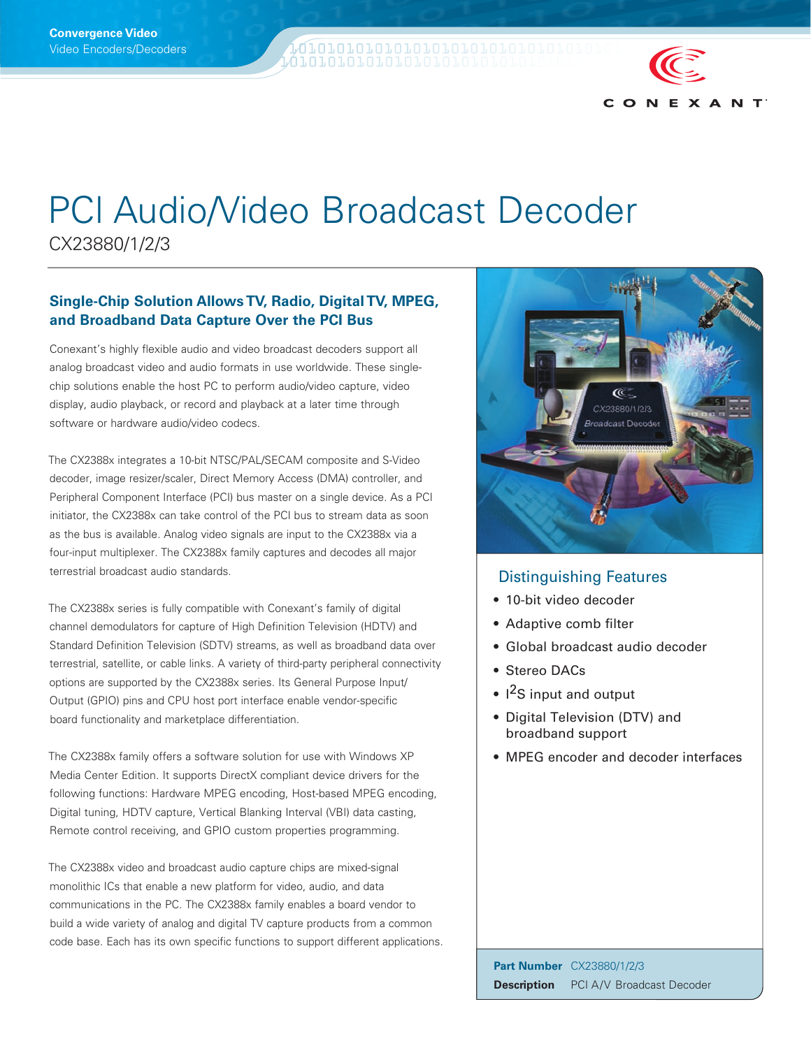W1010101010101010101010101010101 **QTOTOTOTOTOTOTO**YO

# PCl Audio/Video Broadcast Decoder

CX23880/1/2/3

# **Single-Chip Solution Allows TV, Radio, Digital TV, MPEG, and Broadband Data Capture Over the PCI Bus**

Conexant's highly flexible audio and video broadcast decoders support all analog broadcast video and audio formats in use worldwide. These singlechip solutions enable the host PC to perform audio/video capture, video display, audio playback, or record and playback at a later time through software or hardware audio/video codecs.

The CX2388x integrates a 10-bit NTSC/PAL/SECAM composite and S-Video decoder, image resizer/scaler, Direct Memory Access (DMA) controller, and Peripheral Component Interface (PCI) bus master on a single device. As a PCI initiator, the CX2388x can take control of the PCI bus to stream data as soon as the bus is available. Analog video signals are input to the CX2388x via a four-input multiplexer. The CX2388x family captures and decodes all major terrestrial broadcast audio standards.

The CX2388x series is fully compatible with Conexant's family of digital channel demodulators for capture of High Definition Television (HDTV) and Standard Definition Television (SDTV) streams, as well as broadband data over terrestrial, satellite, or cable links. A variety of third-party peripheral connectivity options are supported by the CX2388x series. Its General Purpose Input/ Output (GPIO) pins and CPU host port interface enable vendor-specific board functionality and marketplace differentiation.

The CX2388x family offers a software solution for use with Windows XP Media Center Edition. It supports DirectX compliant device drivers for the following functions: Hardware MPEG encoding, Host-based MPEG encoding, Digital tuning, HDTV capture, Vertical Blanking Interval (VBI) data casting, Remote control receiving, and GPIO custom properties programming.

The CX2388x video and broadcast audio capture chips are mixed-signal monolithic ICs that enable a new platform for video, audio, and data communications in the PC. The CX2388x family enables a board vendor to build a wide variety of analog and digital TV capture products from a common code base. Each has its own specific functions to support different applications.



 $C$   $O$   $N$ 

EXANT

# Distinguishing Features

- 10-bit video decoder
- Adaptive comb filter
- Global broadcast audio decoder
- Stereo DACs
- I<sup>2</sup>S input and output
- Digital Television (DTV) and broadband support
- MPEG encoder and decoder interfaces

**Part Number** CX23880/1/2/3 **Description** PCI A/V Broadcast Decoder